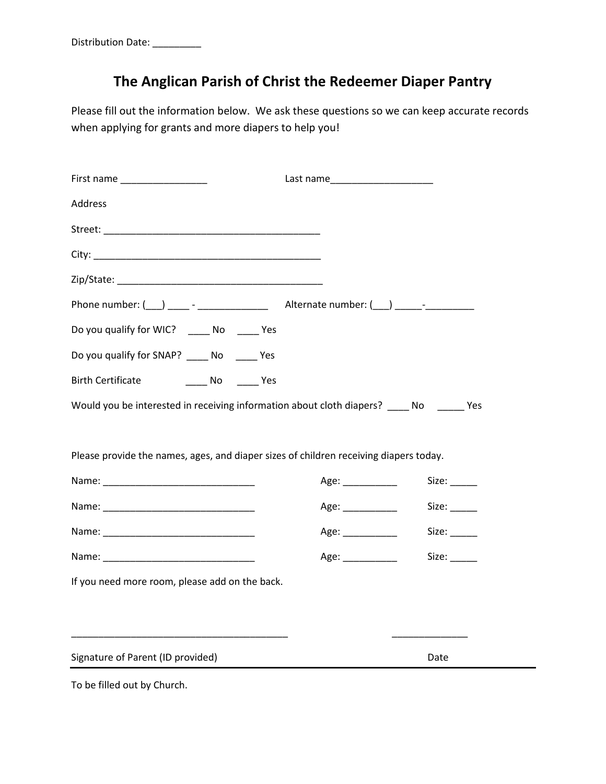## **The Anglican Parish of Christ the Redeemer Diaper Pantry**

Please fill out the information below. We ask these questions so we can keep accurate records when applying for grants and more diapers to help you!

| First name ___________________                                                          |                   |       |
|-----------------------------------------------------------------------------------------|-------------------|-------|
| Address                                                                                 |                   |       |
|                                                                                         |                   |       |
|                                                                                         |                   |       |
|                                                                                         |                   |       |
|                                                                                         |                   |       |
| Do you qualify for WIC? ______ No ______ Yes                                            |                   |       |
| Do you qualify for SNAP? _____ No _____ Yes                                             |                   |       |
| <b>Birth Certificate</b><br><b>No. See See See See See See See Second</b>               |                   |       |
| Would you be interested in receiving information about cloth diapers? ____ No _____ Yes |                   |       |
|                                                                                         |                   |       |
| Please provide the names, ages, and diaper sizes of children receiving diapers today.   |                   |       |
|                                                                                         | Age:              | Size: |
|                                                                                         | Age: ___________  |       |
|                                                                                         | Age: ___________  | Size: |
|                                                                                         | Age: ____________ | Size: |
| If you need more room, please add on the back.                                          |                   |       |
|                                                                                         |                   |       |
|                                                                                         |                   |       |
| Signature of Parent (ID provided)                                                       |                   | Date  |

To be filled out by Church.